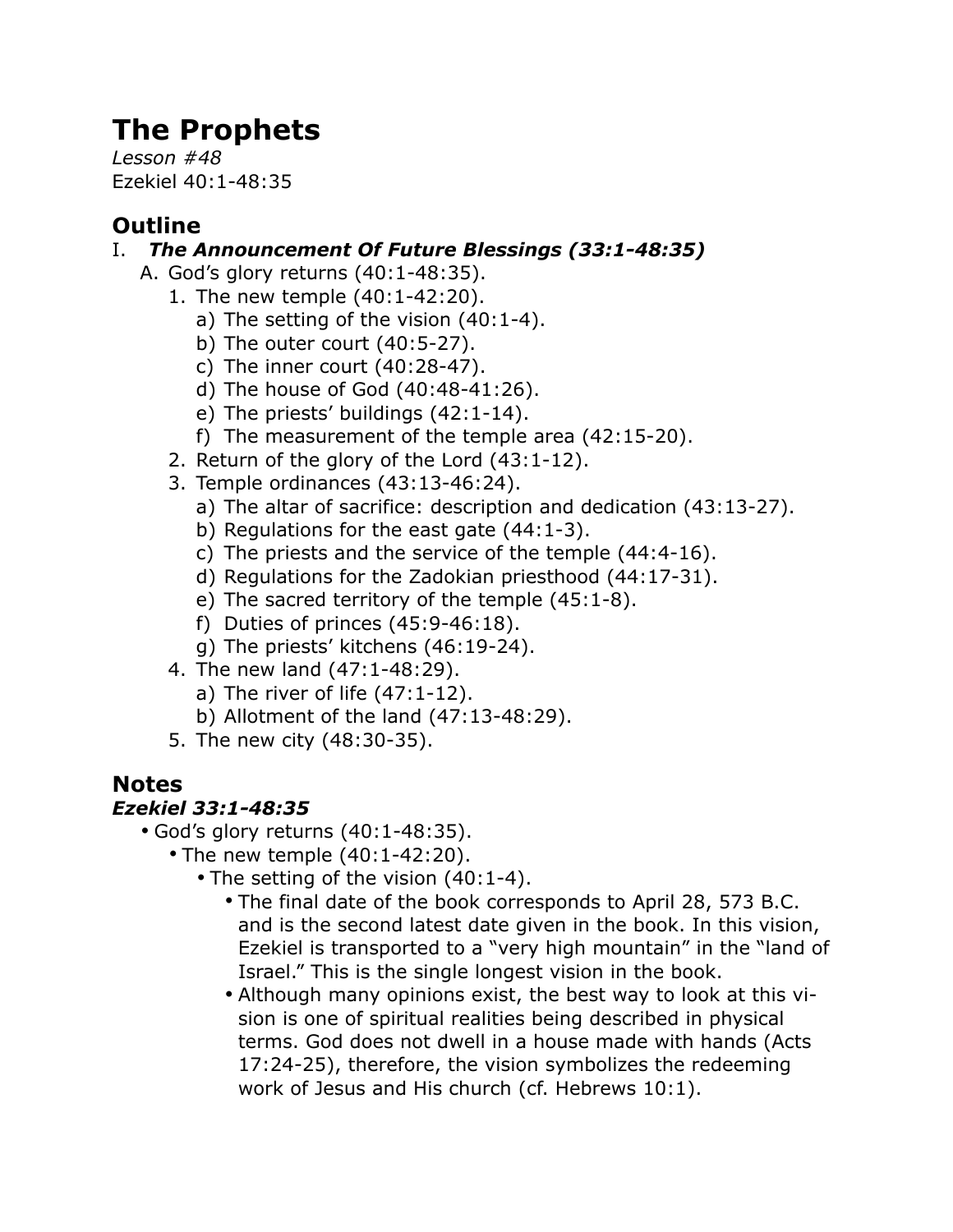# **The Prophets**

*Lesson #48* Ezekiel 40:1-48:35

## **Outline**

#### I. *The Announcement Of Future Blessings (33:1-48:35)*

- A. God's glory returns (40:1-48:35).
	- 1. The new temple (40:1-42:20).
		- a) The setting of the vision (40:1-4).
		- b) The outer court (40:5-27).
		- c) The inner court (40:28-47).
		- d) The house of God (40:48-41:26).
		- e) The priests' buildings (42:1-14).
		- f) The measurement of the temple area (42:15-20).
	- 2. Return of the glory of the Lord (43:1-12).
	- 3. Temple ordinances (43:13-46:24).
		- a) The altar of sacrifice: description and dedication (43:13-27).
		- b) Regulations for the east gate (44:1-3).
		- c) The priests and the service of the temple (44:4-16).
		- d) Regulations for the Zadokian priesthood (44:17-31).
		- e) The sacred territory of the temple (45:1-8).
		- f) Duties of princes (45:9-46:18).
		- g) The priests' kitchens (46:19-24).
	- 4. The new land (47:1-48:29).
		- a) The river of life  $(47:1-12)$ .
		- b) Allotment of the land (47:13-48:29).
	- 5. The new city (48:30-35).

## **Notes**

### *Ezekiel 33:1-48:35*

- God's glory returns (40:1-48:35).
	- The new temple (40:1-42:20).
		- The setting of the vision (40:1-4).
			- The final date of the book corresponds to April 28, 573 B.C. and is the second latest date given in the book. In this vision, Ezekiel is transported to a "very high mountain" in the "land of Israel." This is the single longest vision in the book.
			- Although many opinions exist, the best way to look at this vision is one of spiritual realities being described in physical terms. God does not dwell in a house made with hands (Acts 17:24-25), therefore, the vision symbolizes the redeeming work of Jesus and His church (cf. Hebrews 10:1).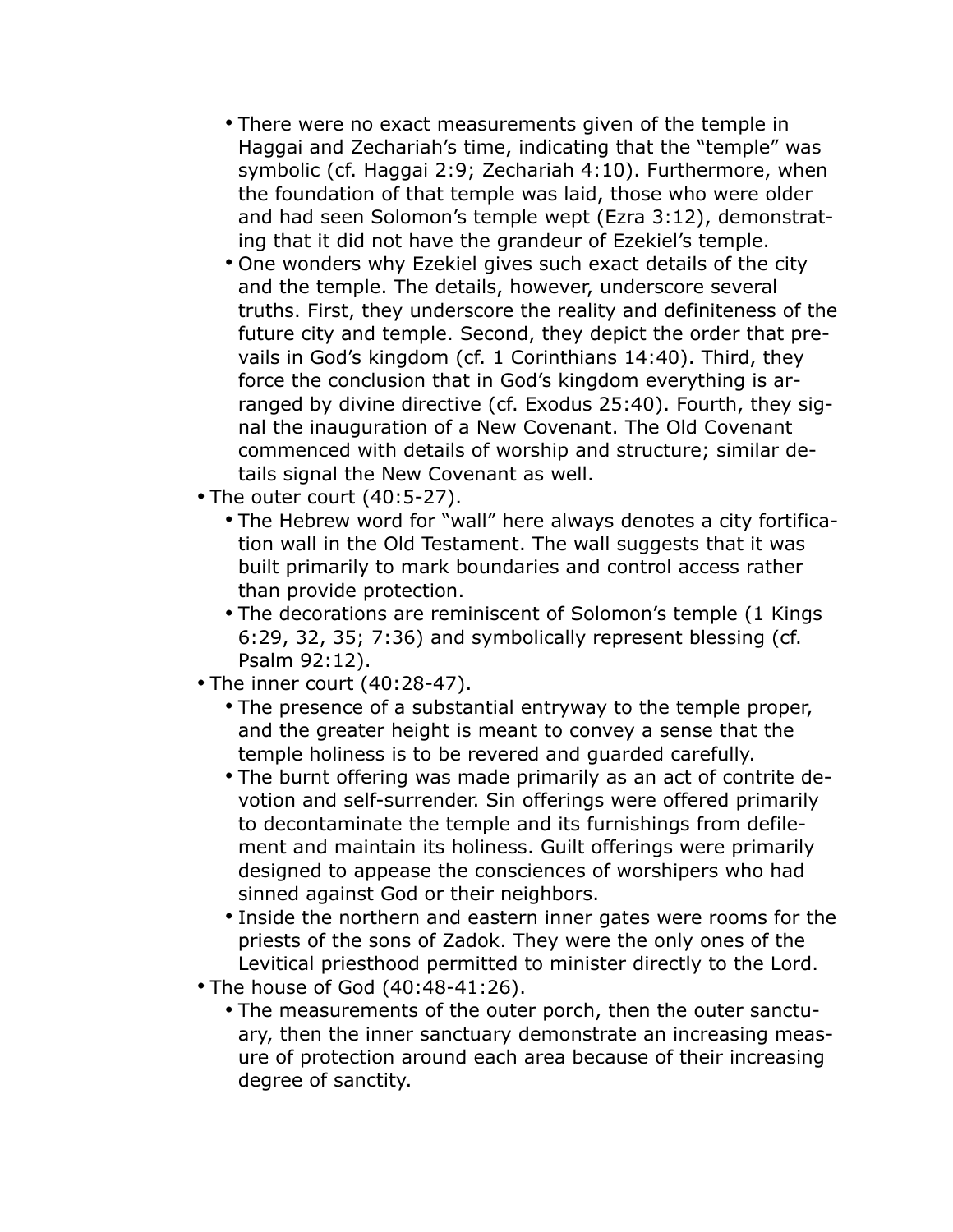- There were no exact measurements given of the temple in Haggai and Zechariah's time, indicating that the "temple" was symbolic (cf. Haggai 2:9; Zechariah 4:10). Furthermore, when the foundation of that temple was laid, those who were older and had seen Solomon's temple wept (Ezra 3:12), demonstrating that it did not have the grandeur of Ezekiel's temple.
- One wonders why Ezekiel gives such exact details of the city and the temple. The details, however, underscore several truths. First, they underscore the reality and definiteness of the future city and temple. Second, they depict the order that prevails in God's kingdom (cf. 1 Corinthians 14:40). Third, they force the conclusion that in God's kingdom everything is arranged by divine directive (cf. Exodus 25:40). Fourth, they signal the inauguration of a New Covenant. The Old Covenant commenced with details of worship and structure; similar details signal the New Covenant as well.
- The outer court (40:5-27).
	- The Hebrew word for "wall" here always denotes a city fortification wall in the Old Testament. The wall suggests that it was built primarily to mark boundaries and control access rather than provide protection.
	- The decorations are reminiscent of Solomon's temple (1 Kings 6:29, 32, 35; 7:36) and symbolically represent blessing (cf. Psalm 92:12).
- The inner court (40:28-47).
	- The presence of a substantial entryway to the temple proper, and the greater height is meant to convey a sense that the temple holiness is to be revered and guarded carefully.
	- The burnt offering was made primarily as an act of contrite devotion and self-surrender. Sin offerings were offered primarily to decontaminate the temple and its furnishings from defilement and maintain its holiness. Guilt offerings were primarily designed to appease the consciences of worshipers who had sinned against God or their neighbors.
	- Inside the northern and eastern inner gates were rooms for the priests of the sons of Zadok. They were the only ones of the Levitical priesthood permitted to minister directly to the Lord.
- The house of God (40:48-41:26).
	- The measurements of the outer porch, then the outer sanctuary, then the inner sanctuary demonstrate an increasing measure of protection around each area because of their increasing degree of sanctity.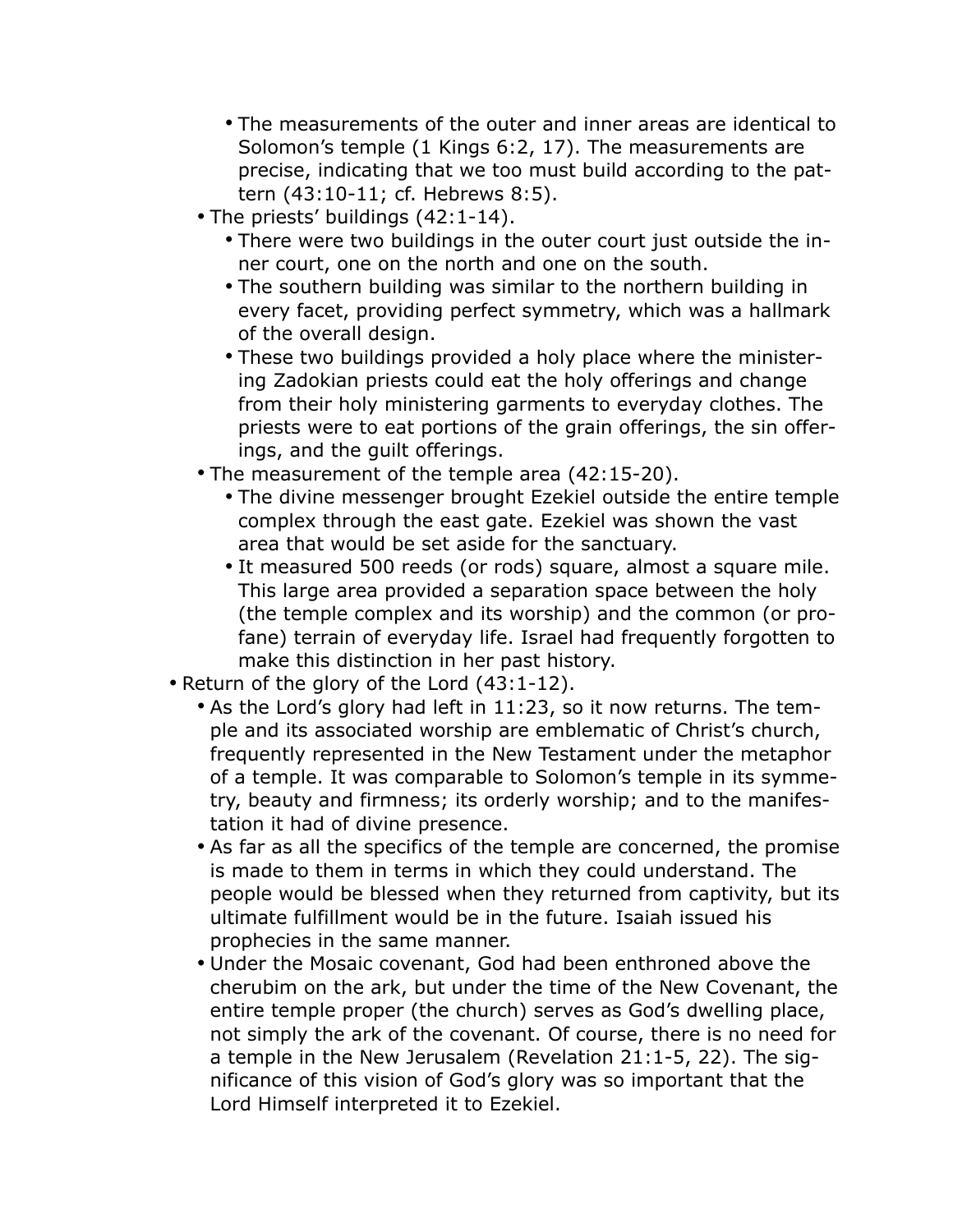- The measurements of the outer and inner areas are identical to Solomon's temple (1 Kings 6:2, 17). The measurements are precise, indicating that we too must build according to the pattern (43:10-11; cf. Hebrews 8:5).
- The priests' buildings (42:1-14).
	- There were two buildings in the outer court just outside the inner court, one on the north and one on the south.
	- The southern building was similar to the northern building in every facet, providing perfect symmetry, which was a hallmark of the overall design.
	- These two buildings provided a holy place where the ministering Zadokian priests could eat the holy offerings and change from their holy ministering garments to everyday clothes. The priests were to eat portions of the grain offerings, the sin offerings, and the guilt offerings.
- The measurement of the temple area (42:15-20).
	- The divine messenger brought Ezekiel outside the entire temple complex through the east gate. Ezekiel was shown the vast area that would be set aside for the sanctuary.
	- It measured 500 reeds (or rods) square, almost a square mile. This large area provided a separation space between the holy (the temple complex and its worship) and the common (or profane) terrain of everyday life. Israel had frequently forgotten to make this distinction in her past history.
- Return of the glory of the Lord (43:1-12).
	- As the Lord's glory had left in 11:23, so it now returns. The temple and its associated worship are emblematic of Christ's church, frequently represented in the New Testament under the metaphor of a temple. It was comparable to Solomon's temple in its symmetry, beauty and firmness; its orderly worship; and to the manifestation it had of divine presence.
	- As far as all the specifics of the temple are concerned, the promise is made to them in terms in which they could understand. The people would be blessed when they returned from captivity, but its ultimate fulfillment would be in the future. Isaiah issued his prophecies in the same manner.
	- Under the Mosaic covenant, God had been enthroned above the cherubim on the ark, but under the time of the New Covenant, the entire temple proper (the church) serves as God's dwelling place, not simply the ark of the covenant. Of course, there is no need for a temple in the New Jerusalem (Revelation 21:1-5, 22). The significance of this vision of God's glory was so important that the Lord Himself interpreted it to Ezekiel.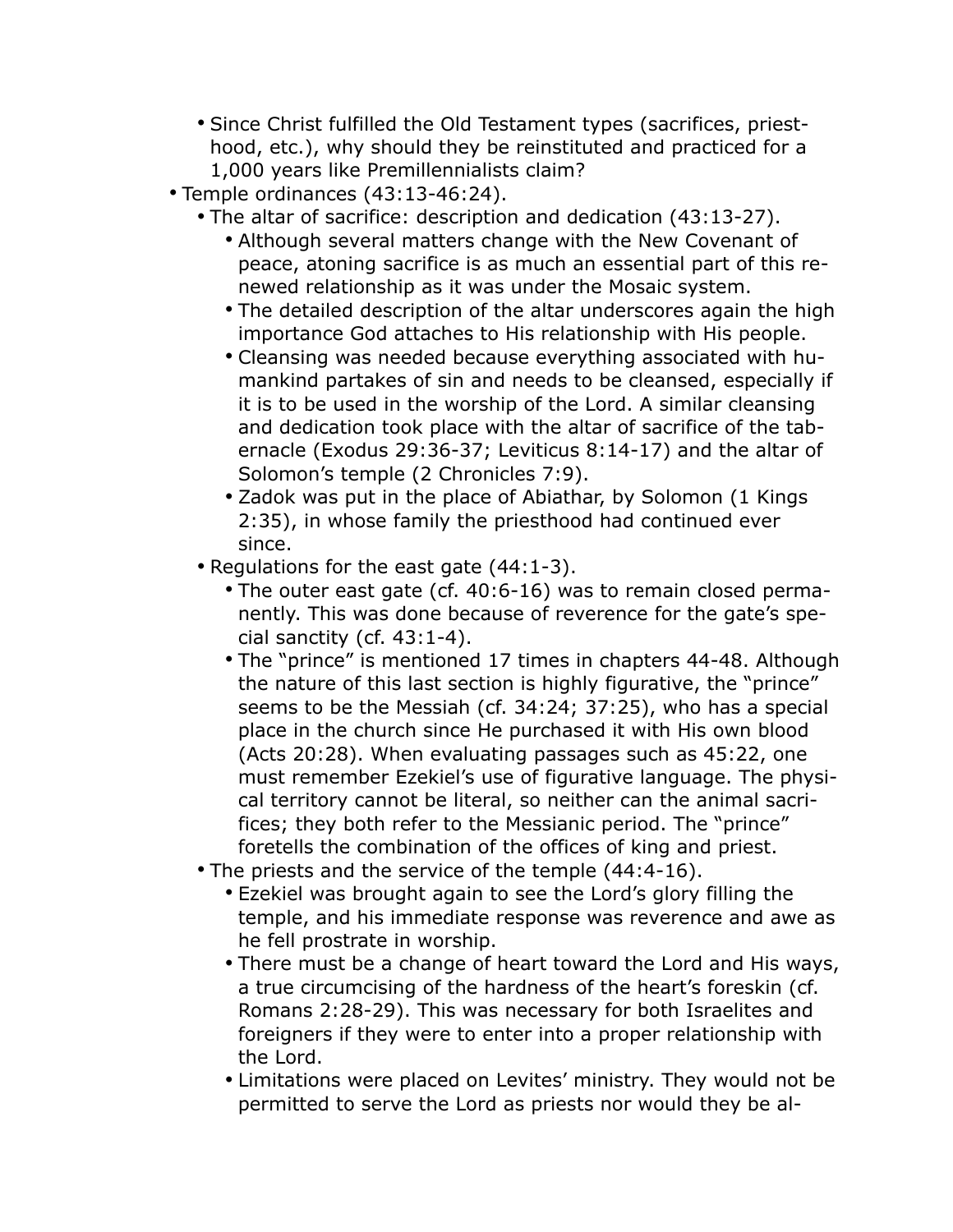- Since Christ fulfilled the Old Testament types (sacrifices, priesthood, etc.), why should they be reinstituted and practiced for a 1,000 years like Premillennialists claim?
- Temple ordinances (43:13-46:24).
	- The altar of sacrifice: description and dedication (43:13-27).
		- Although several matters change with the New Covenant of peace, atoning sacrifice is as much an essential part of this renewed relationship as it was under the Mosaic system.
		- The detailed description of the altar underscores again the high importance God attaches to His relationship with His people.
		- Cleansing was needed because everything associated with humankind partakes of sin and needs to be cleansed, especially if it is to be used in the worship of the Lord. A similar cleansing and dedication took place with the altar of sacrifice of the tabernacle (Exodus 29:36-37; Leviticus 8:14-17) and the altar of Solomon's temple (2 Chronicles 7:9).
		- Zadok was put in the place of Abiathar, by Solomon (1 Kings 2:35), in whose family the priesthood had continued ever since.
	- Regulations for the east gate (44:1-3).
		- The outer east gate (cf. 40:6-16) was to remain closed permanently. This was done because of reverence for the gate's special sanctity (cf. 43:1-4).
		- The "prince" is mentioned 17 times in chapters 44-48. Although the nature of this last section is highly figurative, the "prince" seems to be the Messiah (cf. 34:24; 37:25), who has a special place in the church since He purchased it with His own blood (Acts 20:28). When evaluating passages such as 45:22, one must remember Ezekiel's use of figurative language. The physical territory cannot be literal, so neither can the animal sacrifices; they both refer to the Messianic period. The "prince" foretells the combination of the offices of king and priest.
	- The priests and the service of the temple (44:4-16).
		- Ezekiel was brought again to see the Lord's glory filling the temple, and his immediate response was reverence and awe as he fell prostrate in worship.
		- There must be a change of heart toward the Lord and His ways, a true circumcising of the hardness of the heart's foreskin (cf. Romans 2:28-29). This was necessary for both Israelites and foreigners if they were to enter into a proper relationship with the Lord.
		- Limitations were placed on Levites' ministry. They would not be permitted to serve the Lord as priests nor would they be al-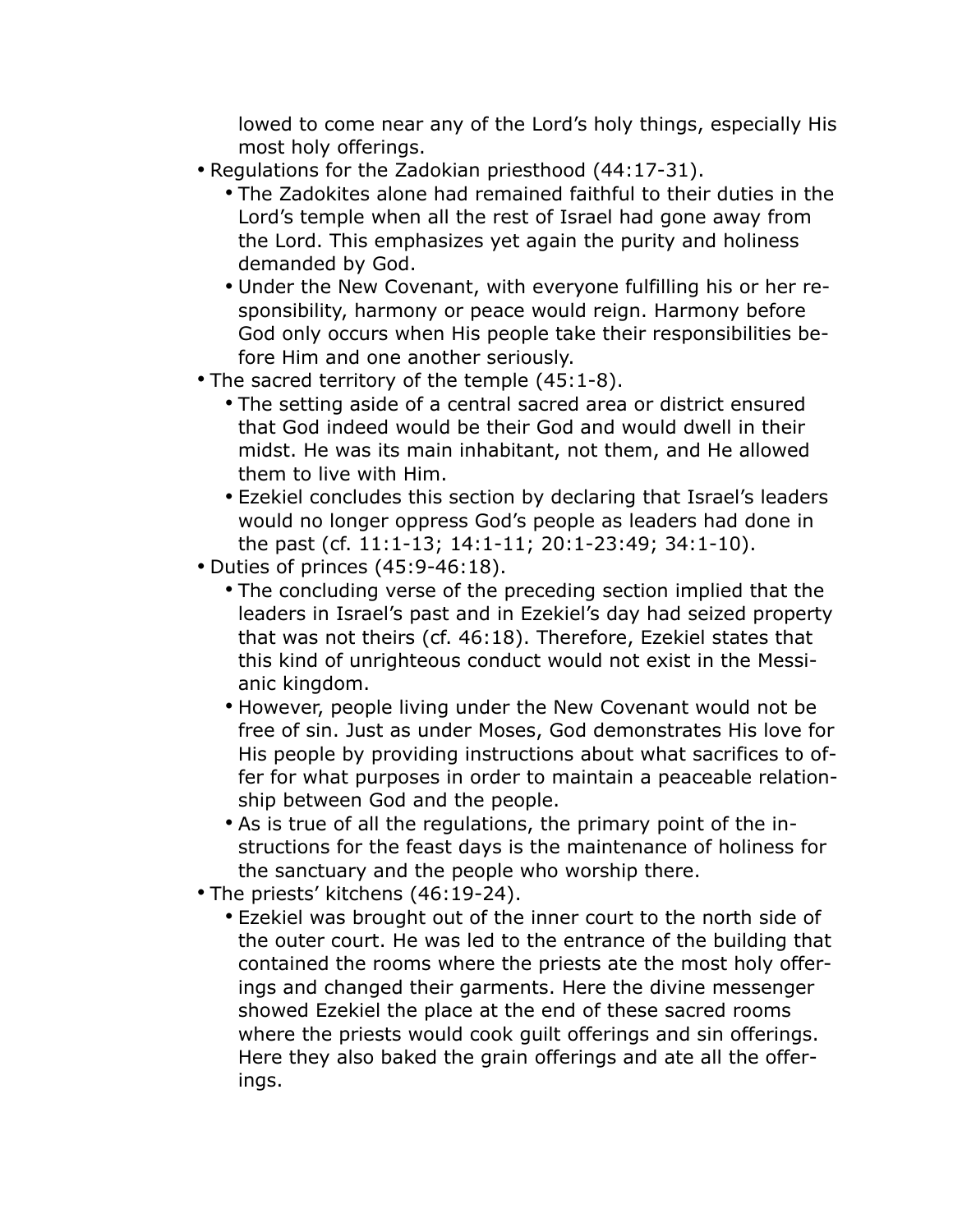lowed to come near any of the Lord's holy things, especially His most holy offerings.

- Regulations for the Zadokian priesthood (44:17-31).
	- The Zadokites alone had remained faithful to their duties in the Lord's temple when all the rest of Israel had gone away from the Lord. This emphasizes yet again the purity and holiness demanded by God.
	- Under the New Covenant, with everyone fulfilling his or her responsibility, harmony or peace would reign. Harmony before God only occurs when His people take their responsibilities before Him and one another seriously.
- The sacred territory of the temple (45:1-8).
	- The setting aside of a central sacred area or district ensured that God indeed would be their God and would dwell in their midst. He was its main inhabitant, not them, and He allowed them to live with Him.
	- Ezekiel concludes this section by declaring that Israel's leaders would no longer oppress God's people as leaders had done in the past (cf. 11:1-13; 14:1-11; 20:1-23:49; 34:1-10).
- Duties of princes (45:9-46:18).
	- The concluding verse of the preceding section implied that the leaders in Israel's past and in Ezekiel's day had seized property that was not theirs (cf. 46:18). Therefore, Ezekiel states that this kind of unrighteous conduct would not exist in the Messianic kingdom.
	- However, people living under the New Covenant would not be free of sin. Just as under Moses, God demonstrates His love for His people by providing instructions about what sacrifices to offer for what purposes in order to maintain a peaceable relationship between God and the people.
	- As is true of all the regulations, the primary point of the instructions for the feast days is the maintenance of holiness for the sanctuary and the people who worship there.
- The priests' kitchens (46:19-24).
	- Ezekiel was brought out of the inner court to the north side of the outer court. He was led to the entrance of the building that contained the rooms where the priests ate the most holy offerings and changed their garments. Here the divine messenger showed Ezekiel the place at the end of these sacred rooms where the priests would cook guilt offerings and sin offerings. Here they also baked the grain offerings and ate all the offerings.